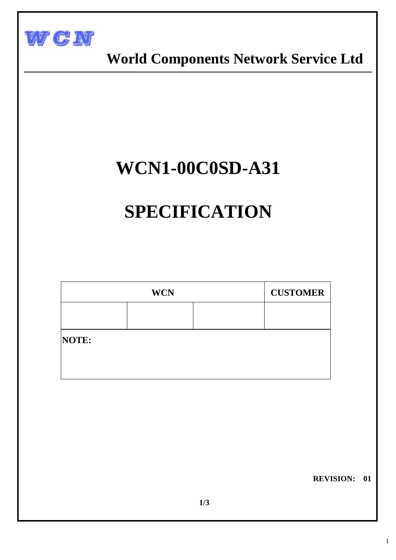

 **World Components Network Service Ltd** 

## **WCN1-00C0SD-A31**

# **SPECIFICATION**

| <b>WCN</b> |  |  | <b>CUSTOMER</b> |  |  |  |
|------------|--|--|-----------------|--|--|--|
|            |  |  |                 |  |  |  |
| NOTE:      |  |  |                 |  |  |  |
|            |  |  |                 |  |  |  |

 **REVISION: 01**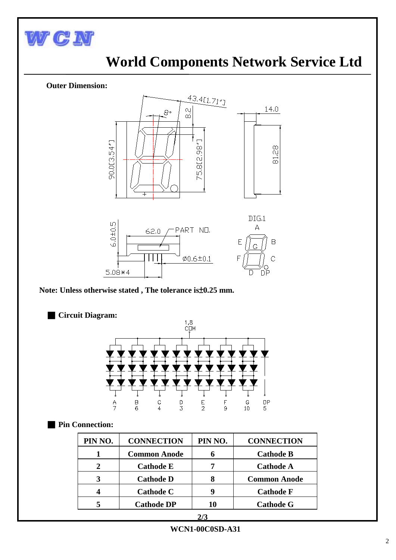

I

### **World Components Network Service Ltd**

#### **Outer Dimension:**



 **Note: Unless otherwise stated , The tolerance is**±**0.25 mm.**

■ **Circuit Diagram:**



#### ■ **Pin Connection:**

| PIN NO. | <b>CONNECTION</b>   | PIN NO. | <b>CONNECTION</b>   |
|---------|---------------------|---------|---------------------|
|         | <b>Common Anode</b> | n       | <b>Cathode B</b>    |
|         | <b>Cathode E</b>    |         | <b>Cathode A</b>    |
| 3       | <b>Cathode D</b>    |         | <b>Common Anode</b> |
| 4       | <b>Cathode C</b>    | 4       | <b>Cathode F</b>    |
|         | <b>Cathode DP</b>   | 10      | <b>Cathode G</b>    |